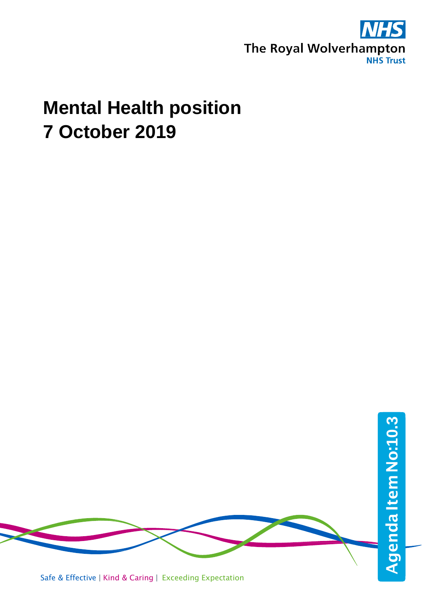

# **Mental Health position 7 October 2019**

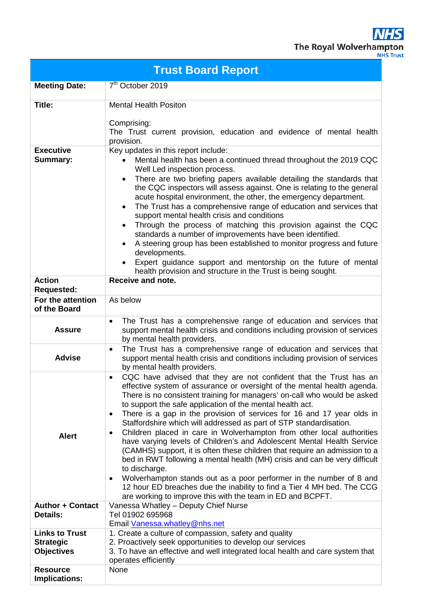**NHS** The Royal Wolverhampton

|  | ייטייו           |  |  |
|--|------------------|--|--|
|  | <b>NHS Trust</b> |  |  |

| <b>Trust Board Report</b>                                      |                                                                                                                                                                                                                                                                                                                                                                                                                                                                                                                                                                                                                                                                                                                                                                                                                                                                                                                                                                                                                                   |  |  |  |  |
|----------------------------------------------------------------|-----------------------------------------------------------------------------------------------------------------------------------------------------------------------------------------------------------------------------------------------------------------------------------------------------------------------------------------------------------------------------------------------------------------------------------------------------------------------------------------------------------------------------------------------------------------------------------------------------------------------------------------------------------------------------------------------------------------------------------------------------------------------------------------------------------------------------------------------------------------------------------------------------------------------------------------------------------------------------------------------------------------------------------|--|--|--|--|
| <b>Meeting Date:</b>                                           | 7 <sup>th</sup> October 2019                                                                                                                                                                                                                                                                                                                                                                                                                                                                                                                                                                                                                                                                                                                                                                                                                                                                                                                                                                                                      |  |  |  |  |
| Title:                                                         | <b>Mental Health Positon</b><br>Comprising:<br>The Trust current provision, education and evidence of mental health<br>provision.                                                                                                                                                                                                                                                                                                                                                                                                                                                                                                                                                                                                                                                                                                                                                                                                                                                                                                 |  |  |  |  |
| <b>Executive</b><br><b>Summary:</b>                            | Key updates in this report include:<br>Mental health has been a continued thread throughout the 2019 CQC<br>Well Led inspection process.<br>There are two briefing papers available detailing the standards that<br>$\bullet$<br>the CQC inspectors will assess against. One is relating to the general<br>acute hospital environment, the other, the emergency department.<br>The Trust has a comprehensive range of education and services that<br>$\bullet$<br>support mental health crisis and conditions<br>Through the process of matching this provision against the CQC<br>$\bullet$<br>standards a number of improvements have been identified.<br>A steering group has been established to monitor progress and future<br>developments.<br>Expert guidance support and mentorship on the future of mental<br>health provision and structure in the Trust is being sought.                                                                                                                                               |  |  |  |  |
| <b>Action</b><br><b>Requested:</b>                             | Receive and note.                                                                                                                                                                                                                                                                                                                                                                                                                                                                                                                                                                                                                                                                                                                                                                                                                                                                                                                                                                                                                 |  |  |  |  |
| For the attention<br>of the Board                              | As below                                                                                                                                                                                                                                                                                                                                                                                                                                                                                                                                                                                                                                                                                                                                                                                                                                                                                                                                                                                                                          |  |  |  |  |
| <b>Assure</b>                                                  | The Trust has a comprehensive range of education and services that<br>$\bullet$<br>support mental health crisis and conditions including provision of services<br>by mental health providers.                                                                                                                                                                                                                                                                                                                                                                                                                                                                                                                                                                                                                                                                                                                                                                                                                                     |  |  |  |  |
| <b>Advise</b>                                                  | The Trust has a comprehensive range of education and services that<br>$\bullet$<br>support mental health crisis and conditions including provision of services<br>by mental health providers.                                                                                                                                                                                                                                                                                                                                                                                                                                                                                                                                                                                                                                                                                                                                                                                                                                     |  |  |  |  |
| <b>Alert</b>                                                   | CQC have advised that they are not confident that the Trust has an<br>$\bullet$<br>effective system of assurance or oversight of the mental health agenda.<br>There is no consistent training for managers' on-call who would be asked<br>to support the safe application of the mental health act.<br>There is a gap in the provision of services for 16 and 17 year olds in<br>$\bullet$<br>Staffordshire which will addressed as part of STP standardisation.<br>Children placed in care in Wolverhampton from other local authorities<br>$\bullet$<br>have varying levels of Children's and Adolescent Mental Health Service<br>(CAMHS) support, it is often these children that require an admission to a<br>bed in RWT following a mental health (MH) crisis and can be very difficult<br>to discharge.<br>Wolverhampton stands out as a poor performer in the number of 8 and<br>٠<br>12 hour ED breaches due the inability to find a Tier 4 MH bed. The CCG<br>are working to improve this with the team in ED and BCPFT. |  |  |  |  |
| <b>Author + Contact</b><br><b>Details:</b>                     | Vanessa Whatley - Deputy Chief Nurse<br>Tel 01902 695968<br>Email Vanessa.whatley@nhs.net                                                                                                                                                                                                                                                                                                                                                                                                                                                                                                                                                                                                                                                                                                                                                                                                                                                                                                                                         |  |  |  |  |
| <b>Links to Trust</b><br><b>Strategic</b><br><b>Objectives</b> | 1. Create a culture of compassion, safety and quality<br>2. Proactively seek opportunities to develop our services<br>3. To have an effective and well integrated local health and care system that<br>operates efficiently                                                                                                                                                                                                                                                                                                                                                                                                                                                                                                                                                                                                                                                                                                                                                                                                       |  |  |  |  |
| <b>Resource</b><br>Implications:                               | None                                                                                                                                                                                                                                                                                                                                                                                                                                                                                                                                                                                                                                                                                                                                                                                                                                                                                                                                                                                                                              |  |  |  |  |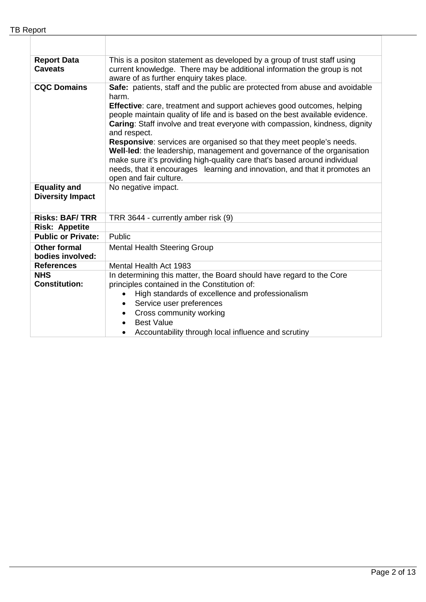$\mathbb{R}$ 

| <b>Report Data</b><br><b>Caveats</b>           | This is a positon statement as developed by a group of trust staff using<br>current knowledge. There may be additional information the group is not<br>aware of as further enquiry takes place.                                                                                                                                                                                                                                                                                                                                                                                                                                                                                              |  |  |
|------------------------------------------------|----------------------------------------------------------------------------------------------------------------------------------------------------------------------------------------------------------------------------------------------------------------------------------------------------------------------------------------------------------------------------------------------------------------------------------------------------------------------------------------------------------------------------------------------------------------------------------------------------------------------------------------------------------------------------------------------|--|--|
| <b>CQC Domains</b>                             | Safe: patients, staff and the public are protected from abuse and avoidable<br>harm.<br><b>Effective:</b> care, treatment and support achieves good outcomes, helping<br>people maintain quality of life and is based on the best available evidence.<br>Caring: Staff involve and treat everyone with compassion, kindness, dignity<br>and respect.<br>Responsive: services are organised so that they meet people's needs.<br>Well-led: the leadership, management and governance of the organisation<br>make sure it's providing high-quality care that's based around individual<br>needs, that it encourages learning and innovation, and that it promotes an<br>open and fair culture. |  |  |
| <b>Equality and</b><br><b>Diversity Impact</b> | No negative impact.                                                                                                                                                                                                                                                                                                                                                                                                                                                                                                                                                                                                                                                                          |  |  |
| <b>Risks: BAF/TRR</b>                          | TRR 3644 - currently amber risk (9)                                                                                                                                                                                                                                                                                                                                                                                                                                                                                                                                                                                                                                                          |  |  |
| <b>Risk: Appetite</b>                          |                                                                                                                                                                                                                                                                                                                                                                                                                                                                                                                                                                                                                                                                                              |  |  |
| <b>Public or Private:</b>                      | Public                                                                                                                                                                                                                                                                                                                                                                                                                                                                                                                                                                                                                                                                                       |  |  |
| <b>Other formal</b><br>bodies involved:        | <b>Mental Health Steering Group</b>                                                                                                                                                                                                                                                                                                                                                                                                                                                                                                                                                                                                                                                          |  |  |
| <b>References</b>                              | Mental Health Act 1983                                                                                                                                                                                                                                                                                                                                                                                                                                                                                                                                                                                                                                                                       |  |  |
| <b>NHS</b><br><b>Constitution:</b>             | In determining this matter, the Board should have regard to the Core<br>principles contained in the Constitution of:<br>High standards of excellence and professionalism<br>$\bullet$<br>Service user preferences<br>$\bullet$<br>Cross community working<br>$\bullet$<br><b>Best Value</b><br>Accountability through local influence and scrutiny                                                                                                                                                                                                                                                                                                                                           |  |  |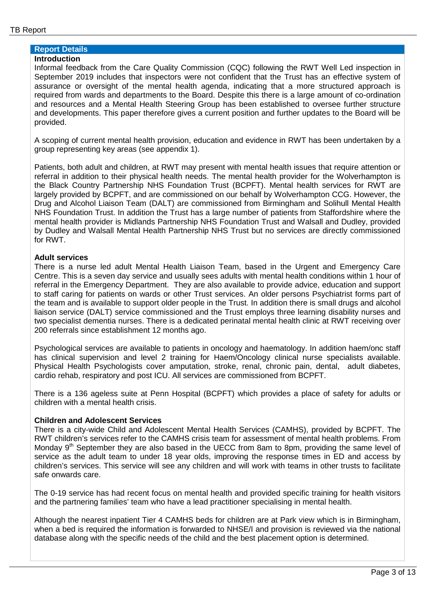# **Report Details**

## **Introduction**

Informal feedback from the Care Quality Commission (CQC) following the RWT Well Led inspection in September 2019 includes that inspectors were not confident that the Trust has an effective system of assurance or oversight of the mental health agenda, indicating that a more structured approach is required from wards and departments to the Board. Despite this there is a large amount of co-ordination and resources and a Mental Health Steering Group has been established to oversee further structure and developments. This paper therefore gives a current position and further updates to the Board will be provided.

A scoping of current mental health provision, education and evidence in RWT has been undertaken by a group representing key areas (see appendix 1).

Patients, both adult and children, at RWT may present with mental health issues that require attention or referral in addition to their physical health needs. The mental health provider for the Wolverhampton is the Black Country Partnership NHS Foundation Trust (BCPFT). Mental health services for RWT are largely provided by BCPFT, and are commissioned on our behalf by Wolverhampton CCG. However, the Drug and Alcohol Liaison Team (DALT) are commissioned from Birmingham and Solihull Mental Health NHS Foundation Trust. In addition the Trust has a large number of patients from Staffordshire where the mental health provider is Midlands Partnership NHS Foundation Trust and Walsall and Dudley, provided by Dudley and Walsall Mental Health Partnership NHS Trust but no services are directly commissioned for RWT.

#### **Adult services**

There is a nurse led adult Mental Health Liaison Team, based in the Urgent and Emergency Care Centre. This is a seven day service and usually sees adults with mental health conditions within 1 hour of referral in the Emergency Department. They are also available to provide advice, education and support to staff caring for patients on wards or other Trust services. An older persons Psychiatrist forms part of the team and is available to support older people in the Trust. In addition there is small drugs and alcohol liaison service (DALT) service commissioned and the Trust employs three learning disability nurses and two specialist dementia nurses. There is a dedicated perinatal mental health clinic at RWT receiving over 200 referrals since establishment 12 months ago.

Psychological services are available to patients in oncology and haematology. In addition haem/onc staff has clinical supervision and level 2 training for Haem/Oncology clinical nurse specialists available. Physical Health Psychologists cover amputation, stroke, renal, chronic pain, dental, adult diabetes, cardio rehab, respiratory and post ICU. All services are commissioned from BCPFT.

There is a 136 ageless suite at Penn Hospital (BCPFT) which provides a place of safety for adults or children with a mental health crisis.

### **Children and Adolescent Services**

There is a city-wide Child and Adolescent Mental Health Services (CAMHS), provided by BCPFT. The RWT children's services refer to the CAMHS crisis team for assessment of mental health problems. From Monday  $9<sup>th</sup>$  September they are also based in the UECC from 8am to 8pm, providing the same level of service as the adult team to under 18 year olds, improving the response times in ED and access by children's services. This service will see any children and will work with teams in other trusts to facilitate safe onwards care.

The 0-19 service has had recent focus on mental health and provided specific training for health visitors and the partnering families' team who have a lead practitioner specialising in mental health.

Although the nearest inpatient Tier 4 CAMHS beds for children are at Park view which is in Birmingham, when a bed is required the information is forwarded to NHSE/I and provision is reviewed via the national database along with the specific needs of the child and the best placement option is determined.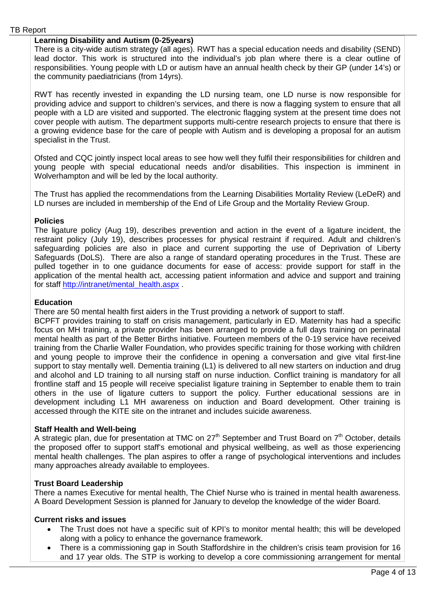#### **Learning Disability and Autism (0-25years)**

There is a city-wide autism strategy (all ages). RWT has a special education needs and disability (SEND) lead doctor. This work is structured into the individual's job plan where there is a clear outline of responsibilities. Young people with LD or autism have an annual health check by their GP (under 14's) or the community paediatricians (from 14yrs).

RWT has recently invested in expanding the LD nursing team, one LD nurse is now responsible for providing advice and support to children's services, and there is now a flagging system to ensure that all people with a LD are visited and supported. The electronic flagging system at the present time does not cover people with autism. The department supports multi-centre research projects to ensure that there is a growing evidence base for the care of people with Autism and is developing a proposal for an autism specialist in the Trust.

Ofsted and CQC jointly inspect local areas to see how well they fulfil their responsibilities for children and young people with special educational needs and/or disabilities. This inspection is imminent in Wolverhampton and will be led by the local authority.

The Trust has applied the recommendations from the Learning Disabilities Mortality Review (LeDeR) and LD nurses are included in membership of the End of Life Group and the Mortality Review Group.

#### **Policies**

The ligature policy (Aug 19), describes prevention and action in the event of a ligature incident, the restraint policy (July 19), describes processes for physical restraint if required. Adult and children's safeguarding policies are also in place and current supporting the use of Deprivation of Liberty Safeguards (DoLS). There are also a range of standard operating procedures in the Trust. These are pulled together in to one guidance documents for ease of access: provide support for staff in the application of the mental health act, accessing patient information and advice and support and training for staff [http://intranet/mental\\_health.aspx](http://intranet/mental_health.aspx) .

#### **Education**

There are 50 mental health first aiders in the Trust providing a network of support to staff.

BCPFT provides training to staff on crisis management, particularly in ED. Maternity has had a specific focus on MH training, a private provider has been arranged to provide a full days training on perinatal mental health as part of the Better Births initiative. Fourteen members of the 0-19 service have received training from the Charlie Waller Foundation, who provides specific training for those working with children and young people to improve their the confidence in opening a conversation and give vital first-line support to stay mentally well. Dementia training (L1) is delivered to all new starters on induction and drug and alcohol and LD training to all nursing staff on nurse induction. Conflict training is mandatory for all frontline staff and 15 people will receive specialist ligature training in September to enable them to train others in the use of ligature cutters to support the policy. Further educational sessions are in development including L1 MH awareness on induction and Board development. Other training is accessed through the KITE site on the intranet and includes suicide awareness.

#### **Staff Health and Well-being**

A strategic plan, due for presentation at TMC on  $27<sup>th</sup>$  September and Trust Board on  $7<sup>th</sup>$  October, details the proposed offer to support staff's emotional and physical wellbeing, as well as those experiencing mental health challenges. The plan aspires to offer a range of psychological interventions and includes many approaches already available to employees.

#### **Trust Board Leadership**

There a names Executive for mental health, The Chief Nurse who is trained in mental health awareness. A Board Development Session is planned for January to develop the knowledge of the wider Board.

#### **Current risks and issues**

- The Trust does not have a specific suit of KPI's to monitor mental health; this will be developed along with a policy to enhance the governance framework.
- There is a commissioning gap in South Staffordshire in the children's crisis team provision for 16 and 17 year olds. The STP is working to develop a core commissioning arrangement for mental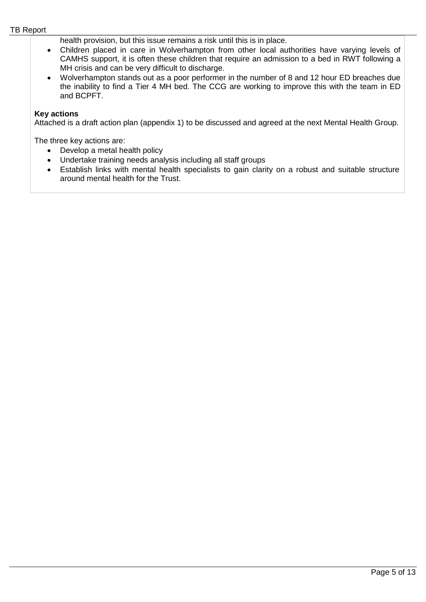health provision, but this issue remains a risk until this is in place.

- Children placed in care in Wolverhampton from other local authorities have varying levels of CAMHS support, it is often these children that require an admission to a bed in RWT following a MH crisis and can be very difficult to discharge.
- Wolverhampton stands out as a poor performer in the number of 8 and 12 hour ED breaches due the inability to find a Tier 4 MH bed. The CCG are working to improve this with the team in ED and BCPFT.

#### **Key actions**

Attached is a draft action plan (appendix 1) to be discussed and agreed at the next Mental Health Group.

The three key actions are:

- Develop a metal health policy
- Undertake training needs analysis including all staff groups
- Establish links with mental health specialists to gain clarity on a robust and suitable structure around mental health for the Trust.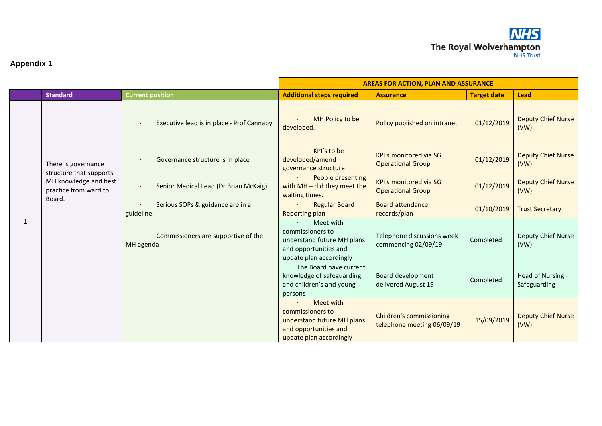

# **Appendix 1**

|   |                                                                                                            |                                                  | <b>AREAS FOR ACTION, PLAN AND ASSURANCE</b>                                                                     |                                                               |                    |                                   |
|---|------------------------------------------------------------------------------------------------------------|--------------------------------------------------|-----------------------------------------------------------------------------------------------------------------|---------------------------------------------------------------|--------------------|-----------------------------------|
|   | <b>Standard</b>                                                                                            | <b>Current position</b>                          | <b>Additional steps required</b>                                                                                | <b>Assurance</b>                                              | <b>Target date</b> | <b>Lead</b>                       |
| 1 | There is governance<br>structure that supports<br>MH knowledge and best<br>practice from ward to<br>Board. | Executive lead is in place - Prof Cannaby        | <b>MH Policy to be</b><br>developed.                                                                            | Policy published on intranet                                  | 01/12/2019         | <b>Deputy Chief Nurse</b><br>(VW) |
|   |                                                                                                            | Governance structure is in place                 | KPI's to be<br>developed/amend<br>governance structure                                                          | <b>KPI's monitored via SG</b><br><b>Operational Group</b>     | 01/12/2019         | <b>Deputy Chief Nurse</b><br>(VW) |
|   |                                                                                                            | Senior Medical Lead (Dr Brian McKaig)            | People presenting<br>with $MH - did$ they meet the<br>waiting times.                                            | <b>KPI's monitored via SG</b><br><b>Operational Group</b>     | 01/12/2019         | <b>Deputy Chief Nurse</b><br>(VW) |
|   |                                                                                                            | Serious SOPs & guidance are in a<br>guideline.   | <b>Regular Board</b><br>Reporting plan                                                                          | <b>Board attendance</b><br>records/plan                       | 01/10/2019         | <b>Trust Secretary</b>            |
|   |                                                                                                            | Commissioners are supportive of the<br>MH agenda | Meet with<br>commissioners to<br>understand future MH plans<br>and opportunities and<br>update plan accordingly | Telephone discussions week<br>commencing 02/09/19             | Completed          | Deputy Chief Nurse<br>(VW)        |
|   |                                                                                                            |                                                  | The Board have current<br>knowledge of safeguarding<br>and children's and young<br>persons                      | Board development<br>delivered August 19                      | Completed          | Head of Nursing -<br>Safeguarding |
|   |                                                                                                            |                                                  | Meet with<br>commissioners to<br>understand future MH plans<br>and opportunities and<br>update plan accordingly | <b>Children's commissioning</b><br>telephone meeting 06/09/19 | 15/09/2019         | <b>Deputy Chief Nurse</b><br>(VW) |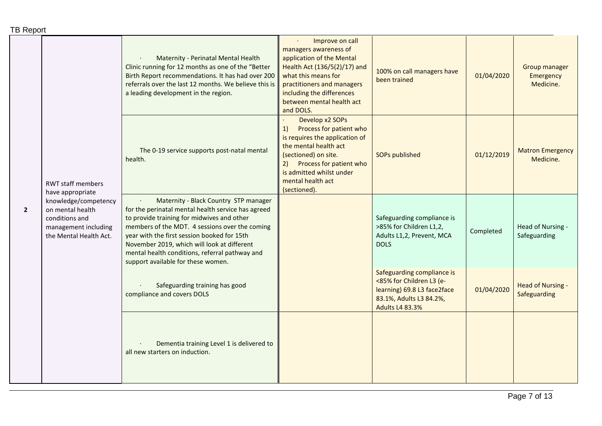|              | <b>RWT staff members</b><br>have appropriate<br>knowledge/competency<br>on mental health<br>conditions and<br>management including<br>the Mental Health Act. | Maternity - Perinatal Mental Health<br>Clinic running for 12 months as one of the "Better<br>Birth Report recommendations. It has had over 200<br>referrals over the last 12 months. We believe this is<br>a leading development in the region.                                                                                                                                   | Improve on call<br>managers awareness of<br>application of the Mental<br>Health Act (136/5(2)/17) and<br>what this means for<br>practitioners and managers<br>including the differences<br>between mental health act<br>and DOLS.     | 100% on call managers have<br>been trained                                                                                                 | 01/04/2020 | Group manager<br>Emergency<br>Medicine.  |
|--------------|--------------------------------------------------------------------------------------------------------------------------------------------------------------|-----------------------------------------------------------------------------------------------------------------------------------------------------------------------------------------------------------------------------------------------------------------------------------------------------------------------------------------------------------------------------------|---------------------------------------------------------------------------------------------------------------------------------------------------------------------------------------------------------------------------------------|--------------------------------------------------------------------------------------------------------------------------------------------|------------|------------------------------------------|
|              |                                                                                                                                                              | The 0-19 service supports post-natal mental<br>health.                                                                                                                                                                                                                                                                                                                            | Develop x2 SOPs<br>Process for patient who<br>1)<br>is requires the application of<br>the mental health act<br>(sectioned) on site.<br>Process for patient who<br>2)<br>is admitted whilst under<br>mental health act<br>(sectioned). | <b>SOPs published</b>                                                                                                                      | 01/12/2019 | <b>Matron Emergency</b><br>Medicine.     |
| $\mathbf{2}$ |                                                                                                                                                              | Maternity - Black Country STP manager<br>for the perinatal mental health service has agreed<br>to provide training for midwives and other<br>members of the MDT. 4 sessions over the coming<br>year with the first session booked for 15th<br>November 2019, which will look at different<br>mental health conditions, referral pathway and<br>support available for these women. |                                                                                                                                                                                                                                       | Safeguarding compliance is<br>>85% for Children L1,2,<br>Adults L1,2, Prevent, MCA<br><b>DOLS</b>                                          | Completed  | Head of Nursing -<br>Safeguarding        |
|              |                                                                                                                                                              | Safeguarding training has good<br>compliance and covers DOLS                                                                                                                                                                                                                                                                                                                      |                                                                                                                                                                                                                                       | Safeguarding compliance is<br><85% for Children L3 (e-<br>learning) 69.8 L3 face2face<br>83.1%, Adults L3 84.2%,<br><b>Adults L4 83.3%</b> | 01/04/2020 | <b>Head of Nursing -</b><br>Safeguarding |
|              |                                                                                                                                                              | Dementia training Level 1 is delivered to<br>all new starters on induction.                                                                                                                                                                                                                                                                                                       |                                                                                                                                                                                                                                       |                                                                                                                                            |            |                                          |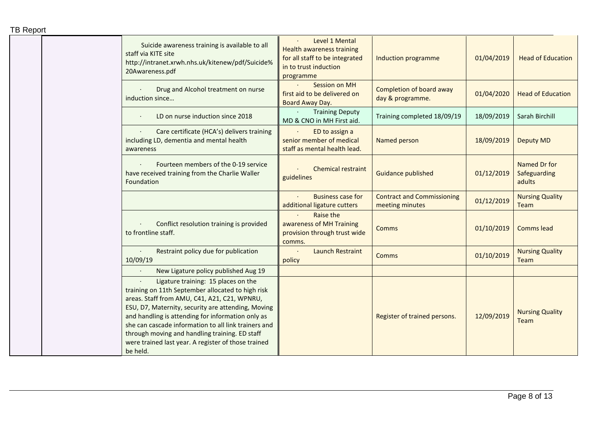| <b>TB Report</b>                                                                                                                                                                                                                                                                                                                                                                                                                 |                                                                                                                            |                                                      |            |                                        |
|----------------------------------------------------------------------------------------------------------------------------------------------------------------------------------------------------------------------------------------------------------------------------------------------------------------------------------------------------------------------------------------------------------------------------------|----------------------------------------------------------------------------------------------------------------------------|------------------------------------------------------|------------|----------------------------------------|
| Suicide awareness training is available to all<br>staff via KITE site<br>http://intranet.xrwh.nhs.uk/kitenew/pdf/Suicide%<br>20Awareness.pdf                                                                                                                                                                                                                                                                                     | Level 1 Mental<br><b>Health awareness training</b><br>for all staff to be integrated<br>in to trust induction<br>programme | Induction programme                                  | 01/04/2019 | <b>Head of Education</b>               |
| Drug and Alcohol treatment on nurse<br>induction since                                                                                                                                                                                                                                                                                                                                                                           | Session on MH<br>first aid to be delivered on<br>Board Away Day.                                                           | <b>Completion of board away</b><br>day & programme.  | 01/04/2020 | <b>Head of Education</b>               |
| LD on nurse induction since 2018                                                                                                                                                                                                                                                                                                                                                                                                 | $\bullet$ .<br><b>Training Deputy</b><br>MD & CNO in MH First aid.                                                         | Training completed 18/09/19                          | 18/09/2019 | Sarah Birchill                         |
| Care certificate (HCA's) delivers training<br>including LD, dementia and mental health<br>awareness                                                                                                                                                                                                                                                                                                                              | ED to assign a<br>senior member of medical<br>staff as mental health lead.                                                 | Named person                                         | 18/09/2019 | <b>Deputy MD</b>                       |
| Fourteen members of the 0-19 service<br>have received training from the Charlie Waller<br>Foundation                                                                                                                                                                                                                                                                                                                             | <b>Chemical restraint</b><br>guidelines                                                                                    | <b>Guidance published</b>                            | 01/12/2019 | Named Dr for<br>Safeguarding<br>adults |
|                                                                                                                                                                                                                                                                                                                                                                                                                                  | <b>Business case for</b><br>additional ligature cutters                                                                    | <b>Contract and Commissioning</b><br>meeting minutes | 01/12/2019 | <b>Nursing Quality</b><br><b>Team</b>  |
| Conflict resolution training is provided<br>to frontline staff.                                                                                                                                                                                                                                                                                                                                                                  | Raise the<br>awareness of MH Training<br>provision through trust wide<br>comms.                                            | <b>Comms</b>                                         | 01/10/2019 | <b>Comms lead</b>                      |
| Restraint policy due for publication<br>10/09/19                                                                                                                                                                                                                                                                                                                                                                                 | <b>Launch Restraint</b><br>policy                                                                                          | <b>Comms</b>                                         | 01/10/2019 | <b>Nursing Quality</b><br>Team         |
| New Ligature policy published Aug 19                                                                                                                                                                                                                                                                                                                                                                                             |                                                                                                                            |                                                      |            |                                        |
| Ligature training: 15 places on the<br>training on 11th September allocated to high risk<br>areas. Staff from AMU, C41, A21, C21, WPNRU,<br>ESU, D7, Maternity, security are attending, Moving<br>and handling is attending for information only as<br>she can cascade information to all link trainers and<br>through moving and handling training. ED staff<br>were trained last year. A register of those trained<br>be held. |                                                                                                                            | Register of trained persons.                         | 12/09/2019 | <b>Nursing Quality</b><br>Team         |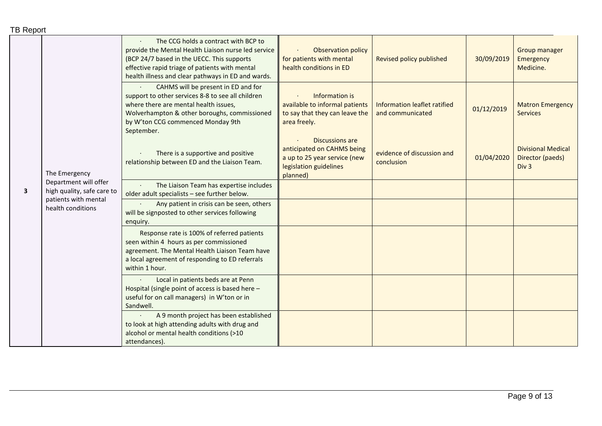|  | <b>TB Report</b> |
|--|------------------|
|--|------------------|

|                         | The Emergency                                       | The CCG holds a contract with BCP to<br>provide the Mental Health Liaison nurse led service<br>(BCP 24/7 based in the UECC. This supports<br>effective rapid triage of patients with mental<br>health illness and clear pathways in ED and wards. | <b>Observation policy</b><br>for patients with mental<br>health conditions in ED                                    | Revised policy published                         | 30/09/2019 | <b>Group manager</b><br>Emergency<br>Medicine.                    |
|-------------------------|-----------------------------------------------------|---------------------------------------------------------------------------------------------------------------------------------------------------------------------------------------------------------------------------------------------------|---------------------------------------------------------------------------------------------------------------------|--------------------------------------------------|------------|-------------------------------------------------------------------|
|                         |                                                     | CAHMS will be present in ED and for<br>support to other services 8-8 to see all children<br>where there are mental health issues,<br>Wolverhampton & other boroughs, commissioned<br>by W'ton CCG commenced Monday 9th<br>September.              | Information is<br>available to informal patients<br>to say that they can leave the<br>area freely.                  | Information leaflet ratified<br>and communicated | 01/12/2019 | <b>Matron Emergency</b><br><b>Services</b>                        |
| $\overline{\mathbf{3}}$ |                                                     | There is a supportive and positive<br>relationship between ED and the Liaison Team.                                                                                                                                                               | Discussions are<br>anticipated on CAHMS being<br>a up to 25 year service (new<br>legislation guidelines<br>planned) | evidence of discussion and<br>conclusion         | 01/04/2020 | <b>Divisional Medical</b><br>Director (paeds)<br>Div <sub>3</sub> |
|                         | Department will offer<br>high quality, safe care to | The Liaison Team has expertise includes<br>older adult specialists - see further below.                                                                                                                                                           |                                                                                                                     |                                                  |            |                                                                   |
|                         | patients with mental<br>health conditions           | Any patient in crisis can be seen, others<br>will be signposted to other services following<br>enquiry.                                                                                                                                           |                                                                                                                     |                                                  |            |                                                                   |
|                         |                                                     | Response rate is 100% of referred patients<br>seen within 4 hours as per commissioned<br>agreement. The Mental Health Liaison Team have<br>a local agreement of responding to ED referrals<br>within 1 hour.                                      |                                                                                                                     |                                                  |            |                                                                   |
|                         |                                                     | Local in patients beds are at Penn<br>Hospital (single point of access is based here -<br>useful for on call managers) in W'ton or in<br>Sandwell.                                                                                                |                                                                                                                     |                                                  |            |                                                                   |
|                         |                                                     | A 9 month project has been established<br>to look at high attending adults with drug and<br>alcohol or mental health conditions (>10<br>attendances).                                                                                             |                                                                                                                     |                                                  |            |                                                                   |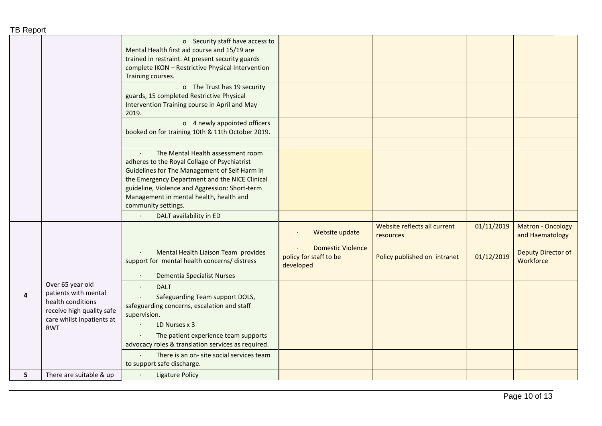| <b>TB Report</b> |                                                                             |                                                                                                                                                                                                                                                                                                          |                                                                 |                                           |            |                                      |
|------------------|-----------------------------------------------------------------------------|----------------------------------------------------------------------------------------------------------------------------------------------------------------------------------------------------------------------------------------------------------------------------------------------------------|-----------------------------------------------------------------|-------------------------------------------|------------|--------------------------------------|
|                  |                                                                             | o Security staff have access to<br>Mental Health first aid course and 15/19 are<br>trained in restraint. At present security guards<br>complete IKON - Restrictive Physical Intervention<br>Training courses.                                                                                            |                                                                 |                                           |            |                                      |
|                  |                                                                             | o The Trust has 19 security<br>guards, 15 completed Restrictive Physical<br>Intervention Training course in April and May<br>2019.                                                                                                                                                                       |                                                                 |                                           |            |                                      |
|                  |                                                                             | o 4 newly appointed officers<br>booked on for training 10th & 11th October 2019.                                                                                                                                                                                                                         |                                                                 |                                           |            |                                      |
|                  |                                                                             | The Mental Health assessment room<br>adheres to the Royal Collage of Psychiatrist<br>Guidelines for The Management of Self Harm in<br>the Emergency Department and the NICE Clinical<br>guideline, Violence and Aggression: Short-term<br>Management in mental health, health and<br>community settings. |                                                                 |                                           |            |                                      |
|                  |                                                                             | DALT availability in ED                                                                                                                                                                                                                                                                                  |                                                                 |                                           |            |                                      |
|                  |                                                                             |                                                                                                                                                                                                                                                                                                          | Website update                                                  | Website reflects all current<br>resources | 01/11/2019 | Matron - Oncology<br>and Haematology |
|                  |                                                                             | Mental Health Liaison Team provides<br>support for mental health concerns/ distress                                                                                                                                                                                                                      | <b>Domestic Violence</b><br>policy for staff to be<br>developed | Policy published on intranet              | 01/12/2019 | Deputy Director of<br>Workforce      |
|                  |                                                                             | <b>Dementia Specialist Nurses</b><br>$\cdot$                                                                                                                                                                                                                                                             |                                                                 |                                           |            |                                      |
|                  | Over 65 year old<br>patients with mental                                    | <b>DALT</b>                                                                                                                                                                                                                                                                                              |                                                                 |                                           |            |                                      |
| 4                | health conditions<br>receive high quality safe<br>care whilst inpatients at | Safeguarding Team support DOLS,<br>safeguarding concerns, escalation and staff<br>supervision.                                                                                                                                                                                                           |                                                                 |                                           |            |                                      |
|                  | <b>RWT</b>                                                                  | LD Nurses x 3                                                                                                                                                                                                                                                                                            |                                                                 |                                           |            |                                      |
|                  |                                                                             | The patient experience team supports<br>advocacy roles & translation services as required.                                                                                                                                                                                                               |                                                                 |                                           |            |                                      |
|                  |                                                                             | There is an on- site social services team<br>to support safe discharge.                                                                                                                                                                                                                                  |                                                                 |                                           |            |                                      |
| 5                | There are suitable & up                                                     | <b>Ligature Policy</b>                                                                                                                                                                                                                                                                                   |                                                                 |                                           |            |                                      |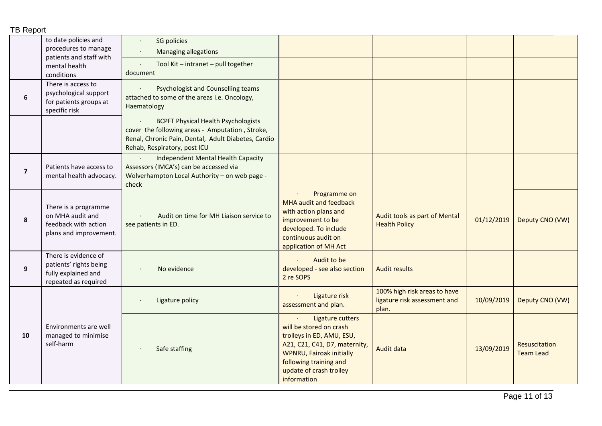#### TB Report to date policies and procedures to manage patients and staff with mental health conditions · SG policies · Managing allegations · Tool Kit – intranet – pull together document **6** There is access to psychological support for patients groups at specific risk Psychologist and Counselling teams attached to some of the areas i.e. Oncology, Haematology **BCPFT Physical Health Psychologists** cover the following areas - Amputation , Stroke, Renal, Chronic Pain, Dental, Adult Diabetes, Cardio Rehab, Respiratory, post ICU **7** Patients have access to mental health advocacy. · Independent Mental Health Capacity Assessors (IMCA's) can be accessed via Wolverhampton Local Authority – on web page check **8** There is a programme on MHA audit and feedback with action plans and improvement. · Audit on time for MH Liaison service to see patients in ED. · Programme on MHA audit and feedback with action plans and improvement to be developed. To include continuous audit on application of MH Act Audit tools as part of Mental Health Policy Diviental 01/12/2019 | Deputy CNO (VW) **9** There is evidence of patients' rights being fully explained and repeated as required No evidence · Audit to be developed - see also section 2 re SOPS Audit results **10** Environments are well managed to minimise self-harm Ligature policy **and the contract of the contract of the contract of the contract of the contract of the contract of the contract of the contract of the contract of the contract of the contract of the contract of the contr** assessment and plan. 100% high risk areas to have ligature risk assessment and plan. 10/09/2019 Deputy CNO (VW) Safe staffing Ligature cutters will be stored on crash trolleys in ED, AMU, ESU, A21, C21, C41, D7, maternity, WPNRU, Fairoak initially following training and update of crash trolley information Audit data 13/09/2019 Resuscitation Team Lead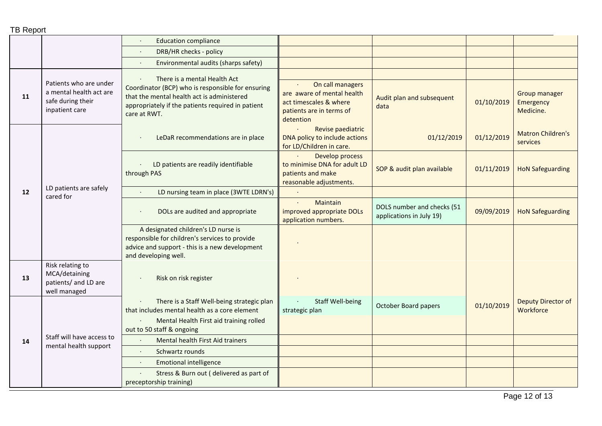|    |                                                                                          | <b>Education compliance</b>                                                                                                                                          |                                                                                                                   |                                                        |            |                                                |
|----|------------------------------------------------------------------------------------------|----------------------------------------------------------------------------------------------------------------------------------------------------------------------|-------------------------------------------------------------------------------------------------------------------|--------------------------------------------------------|------------|------------------------------------------------|
|    |                                                                                          | DRB/HR checks - policy                                                                                                                                               |                                                                                                                   |                                                        |            |                                                |
|    |                                                                                          | Environmental audits (sharps safety)<br>$\bullet$                                                                                                                    |                                                                                                                   |                                                        |            |                                                |
|    |                                                                                          | There is a mental Health Act                                                                                                                                         |                                                                                                                   |                                                        |            |                                                |
| 11 | Patients who are under<br>a mental health act are<br>safe during their<br>inpatient care | Coordinator (BCP) who is responsible for ensuring<br>that the mental health act is administered<br>appropriately if the patients required in patient<br>care at RWT. | On call managers<br>are aware of mental health<br>act timescales & where<br>patients are in terms of<br>detention | Audit plan and subsequent<br>data                      | 01/10/2019 | <b>Group manager</b><br>Emergency<br>Medicine. |
|    |                                                                                          | LeDaR recommendations are in place                                                                                                                                   | Revise paediatric<br>DNA policy to include actions<br>for LD/Children in care.                                    | 01/12/2019                                             | 01/12/2019 | <b>Matron Children's</b><br>services           |
|    |                                                                                          | LD patients are readily identifiable<br>through PAS                                                                                                                  | Develop process<br>to minimise DNA for adult LD<br>patients and make<br>reasonable adjustments.                   | SOP & audit plan available                             | 01/11/2019 | <b>HoN Safeguarding</b>                        |
| 12 | LD patients are safely<br>cared for                                                      | LD nursing team in place (3WTE LDRN's)<br>$\cdot$                                                                                                                    |                                                                                                                   |                                                        |            |                                                |
|    |                                                                                          | DOLs are audited and appropriate<br>$\cdot$                                                                                                                          | Maintain<br>$\ddot{\phantom{a}}$<br>improved appropriate DOLs<br>application numbers.                             | DOLS number and checks (51<br>applications in July 19) | 09/09/2019 | <b>HoN Safeguarding</b>                        |
|    |                                                                                          | A designated children's LD nurse is<br>responsible for children's services to provide<br>advice and support - this is a new development<br>and developing well.      |                                                                                                                   |                                                        |            |                                                |
| 13 | Risk relating to<br>MCA/detaining<br>patients/ and LD are<br>well managed                | Risk on risk register                                                                                                                                                |                                                                                                                   |                                                        |            |                                                |
|    |                                                                                          | There is a Staff Well-being strategic plan<br>that includes mental health as a core element                                                                          | <b>Staff Well-being</b><br>strategic plan                                                                         | October Board papers                                   | 01/10/2019 | Deputy Director of<br>Workforce                |
|    |                                                                                          | Mental Health First aid training rolled<br>out to 50 staff & ongoing                                                                                                 |                                                                                                                   |                                                        |            |                                                |
| 14 | Staff will have access to                                                                | Mental health First Aid trainers                                                                                                                                     |                                                                                                                   |                                                        |            |                                                |
|    | mental health support                                                                    | Schwartz rounds<br>$\bullet$                                                                                                                                         |                                                                                                                   |                                                        |            |                                                |
|    |                                                                                          | <b>Emotional intelligence</b><br>$\bullet$                                                                                                                           |                                                                                                                   |                                                        |            |                                                |
|    |                                                                                          | Stress & Burn out (delivered as part of<br>preceptorship training)                                                                                                   |                                                                                                                   |                                                        |            |                                                |